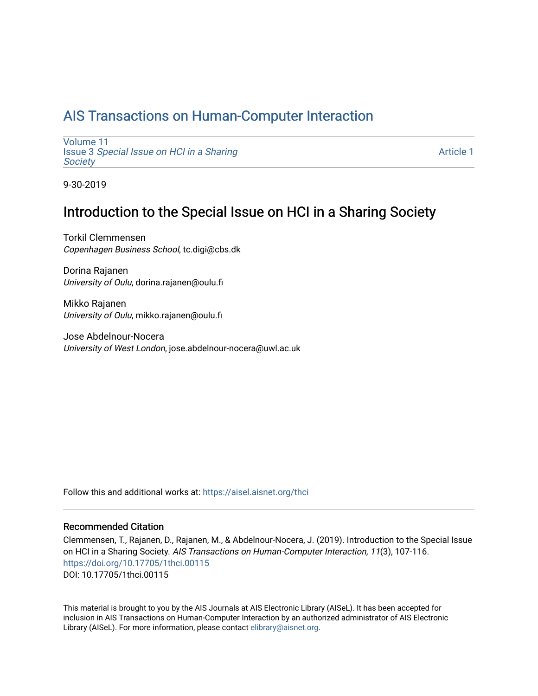# [AIS Transactions on Human-Computer Interaction](https://aisel.aisnet.org/thci)

[Volume 11](https://aisel.aisnet.org/thci/vol11) Issue 3 [Special Issue on HCI in a Sharing](https://aisel.aisnet.org/thci/vol11/iss3) **Society** 

[Article 1](https://aisel.aisnet.org/thci/vol11/iss3/1) 

9-30-2019

# Introduction to the Special Issue on HCI in a Sharing Society

Torkil Clemmensen Copenhagen Business School, tc.digi@cbs.dk

Dorina Rajanen University of Oulu, dorina.rajanen@oulu.fi

Mikko Rajanen University of Oulu, mikko.rajanen@oulu.fi

Jose Abdelnour-Nocera University of West London, jose.abdelnour-nocera@uwl.ac.uk

Follow this and additional works at: [https://aisel.aisnet.org/thci](https://aisel.aisnet.org/thci?utm_source=aisel.aisnet.org%2Fthci%2Fvol11%2Fiss3%2F1&utm_medium=PDF&utm_campaign=PDFCoverPages) 

#### Recommended Citation

Clemmensen, T., Rajanen, D., Rajanen, M., & Abdelnour-Nocera, J. (2019). Introduction to the Special Issue on HCI in a Sharing Society. AIS Transactions on Human-Computer Interaction, 11(3), 107-116. <https://doi.org/10.17705/1thci.00115> DOI: 10.17705/1thci.00115

This material is brought to you by the AIS Journals at AIS Electronic Library (AISeL). It has been accepted for inclusion in AIS Transactions on Human-Computer Interaction by an authorized administrator of AIS Electronic Library (AISeL). For more information, please contact [elibrary@aisnet.org.](mailto:elibrary@aisnet.org%3E)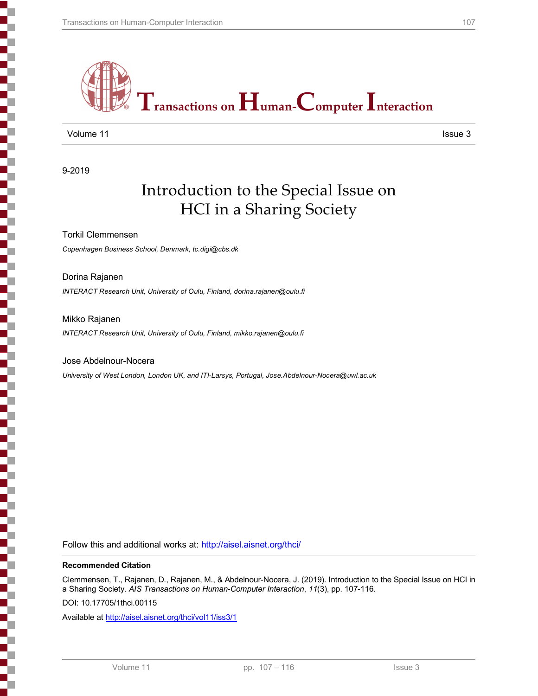

Volume 11 Issue 3

Torkil Clemmensen

9-2019

# Introduction to the Special Issue on HCI in a Sharing Society

*Copenhagen Business School, Denmark, tc.digi@cbs.dk*

Dorina Rajanen *INTERACT Research Unit, University of Oulu, Finland, dorina.rajanen@oulu.fi*

Mikko Rajanen *INTERACT Research Unit, University of Oulu, Finland, mikko.rajanen@oulu.fi*

Jose Abdelnour-Nocera *University of West London, London UK, and ITI-Larsys, Portugal, Jose.Abdelnour-Nocera@uwl.ac.uk*

Follow this and additional works at: http://aisel.aisnet.org/thci/

**Recommended Citation**

Clemmensen, T., Rajanen, D., Rajanen, M., & Abdelnour-Nocera, J. (2019). Introduction to the Special Issue on HCI in a Sharing Society. *AIS Transactions on Human-Computer Interaction*, *11*(3), pp. 107-116.

DOI: 10.17705/1thci.00115

Available at http://aisel.aisnet.org/thci/vol11/iss3/1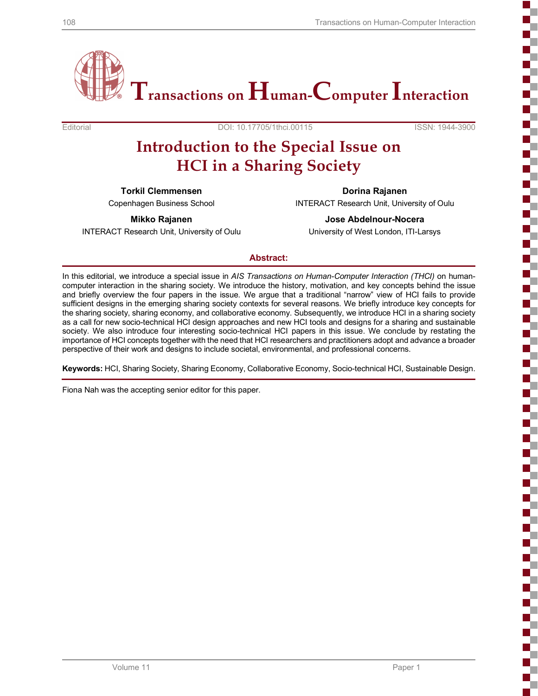

Editorial DOI: 10.17705/1thci.00115 ISSN: 1944-3900

M.

# **Introduction to the Special Issue on HCI in a Sharing Society**

**Torkil Clemmensen**

Copenhagen Business School

**Mikko Rajanen**

INTERACT Research Unit, University of Oulu

**Dorina Rajanen** INTERACT Research Unit, University of Oulu

**Jose Abdelnour-Nocera** University of West London, ITI-Larsys

### **Abstract:**

In this editorial, we introduce a special issue in *AIS Transactions on Human-Computer Interaction (THCI)* on humancomputer interaction in the sharing society. We introduce the history, motivation, and key concepts behind the issue and briefly overview the four papers in the issue. We argue that a traditional "narrow" view of HCI fails to provide sufficient designs in the emerging sharing society contexts for several reasons. We briefly introduce key concepts for the sharing society, sharing economy, and collaborative economy. Subsequently, we introduce HCI in a sharing society as a call for new socio-technical HCI design approaches and new HCI tools and designs for a sharing and sustainable society. We also introduce four interesting socio-technical HCI papers in this issue. We conclude by restating the importance of HCI concepts together with the need that HCI researchers and practitioners adopt and advance a broader perspective of their work and designs to include societal, environmental, and professional concerns.

**Keywords:** HCI, Sharing Society, Sharing Economy, Collaborative Economy, Socio-technical HCI, Sustainable Design.

Fiona Nah was the accepting senior editor for this paper.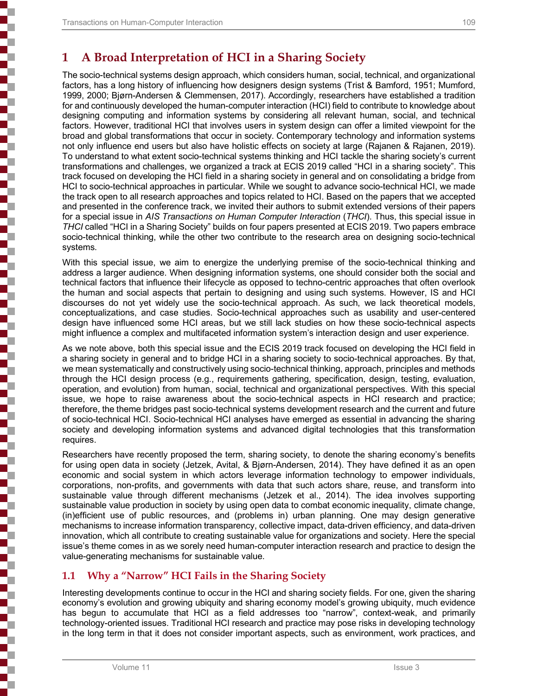▌

 $\frac{1}{2}$ 

# **1 A Broad Interpretation of HCI in a Sharing Society**

The socio-technical systems design approach, which considers human, social, technical, and organizational factors, has a long history of influencing how designers design systems (Trist & Bamford, 1951; Mumford, 1999, 2000; Bjørn-Andersen & Clemmensen, 2017). Accordingly, researchers have established a tradition for and continuously developed the human-computer interaction (HCI) field to contribute to knowledge about designing computing and information systems by considering all relevant human, social, and technical factors. However, traditional HCI that involves users in system design can offer a limited viewpoint for the broad and global transformations that occur in society. Contemporary technology and information systems not only influence end users but also have holistic effects on society at large (Rajanen & Rajanen, 2019). To understand to what extent socio-technical systems thinking and HCI tackle the sharing society's current transformations and challenges, we organized a track at ECIS 2019 called "HCI in a sharing society". This track focused on developing the HCI field in a sharing society in general and on consolidating a bridge from HCI to socio-technical approaches in particular. While we sought to advance socio-technical HCI, we made the track open to all research approaches and topics related to HCI. Based on the papers that we accepted and presented in the conference track, we invited their authors to submit extended versions of their papers for a special issue in *AIS Transactions on Human Computer Interaction* (*THCI*). Thus, this special issue in *THCI* called "HCI in a Sharing Society" builds on four papers presented at ECIS 2019. Two papers embrace socio-technical thinking, while the other two contribute to the research area on designing socio-technical systems.

With this special issue, we aim to energize the underlying premise of the socio-technical thinking and address a larger audience. When designing information systems, one should consider both the social and technical factors that influence their lifecycle as opposed to techno-centric approaches that often overlook the human and social aspects that pertain to designing and using such systems. However, IS and HCI discourses do not yet widely use the socio-technical approach. As such, we lack theoretical models, conceptualizations, and case studies. Socio-technical approaches such as usability and user-centered design have influenced some HCI areas, but we still lack studies on how these socio-technical aspects might influence a complex and multifaceted information system's interaction design and user experience.

As we note above, both this special issue and the ECIS 2019 track focused on developing the HCI field in a sharing society in general and to bridge HCI in a sharing society to socio-technical approaches. By that, we mean systematically and constructively using socio-technical thinking, approach, principles and methods through the HCI design process (e.g., requirements gathering, specification, design, testing, evaluation, operation, and evolution) from human, social, technical and organizational perspectives. With this special issue, we hope to raise awareness about the socio-technical aspects in HCI research and practice; therefore, the theme bridges past socio-technical systems development research and the current and future of socio-technical HCI. Socio-technical HCI analyses have emerged as essential in advancing the sharing society and developing information systems and advanced digital technologies that this transformation requires.

Researchers have recently proposed the term, sharing society, to denote the sharing economy's benefits for using open data in society (Jetzek, Avital, & Bjørn-Andersen, 2014). They have defined it as an open economic and social system in which actors leverage information technology to empower individuals, corporations, non-profits, and governments with data that such actors share, reuse, and transform into sustainable value through different mechanisms (Jetzek et al., 2014). The idea involves supporting sustainable value production in society by using open data to combat economic inequality, climate change, (in)efficient use of public resources, and (problems in) urban planning. One may design generative mechanisms to increase information transparency, collective impact, data-driven efficiency, and data-driven innovation, which all contribute to creating sustainable value for organizations and society. Here the special issue's theme comes in as we sorely need human-computer interaction research and practice to design the value-generating mechanisms for sustainable value.

### **1.1 Why a "Narrow" HCI Fails in the Sharing Society**

Interesting developments continue to occur in the HCI and sharing society fields. For one, given the sharing economy's evolution and growing ubiquity and sharing economy model's growing ubiquity, much evidence has begun to accumulate that HCI as a field addresses too "narrow", context-weak, and primarily technology-oriented issues. Traditional HCI research and practice may pose risks in developing technology in the long term in that it does not consider important aspects, such as environment, work practices, and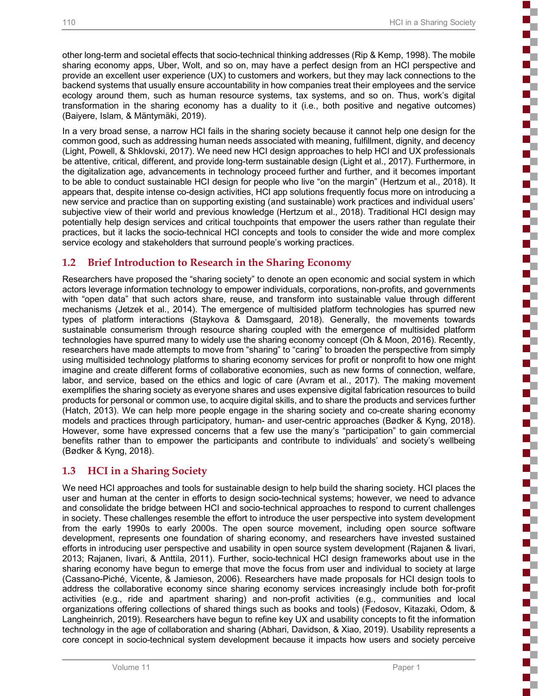Į

F

ç

i

Ś

į

other long-term and societal effects that socio-technical thinking addresses (Rip & Kemp, 1998). The mobile sharing economy apps, Uber, Wolt, and so on, may have a perfect design from an HCI perspective and provide an excellent user experience (UX) to customers and workers, but they may lack connections to the backend systems that usually ensure accountability in how companies treat their employees and the service ecology around them, such as human resource systems, tax systems, and so on. Thus, work's digital transformation in the sharing economy has a duality to it (i.e., both positive and negative outcomes) (Baiyere, Islam, & Mäntymäki, 2019).

In a very broad sense, a narrow HCI fails in the sharing society because it cannot help one design for the common good, such as addressing human needs associated with meaning, fulfillment, dignity, and decency (Light, Powell, & Shklovski, 2017). We need new HCI design approaches to help HCI and UX professionals be attentive, critical, different, and provide long-term sustainable design (Light et al., 2017). Furthermore, in the digitalization age, advancements in technology proceed further and further, and it becomes important to be able to conduct sustainable HCI design for people who live "on the margin" (Hertzum et al., 2018). It appears that, despite intense co-design activities, HCI app solutions frequently focus more on introducing a new service and practice than on supporting existing (and sustainable) work practices and individual users' subjective view of their world and previous knowledge (Hertzum et al., 2018). Traditional HCI design may potentially help design services and critical touchpoints that empower the users rather than regulate their practices, but it lacks the socio-technical HCI concepts and tools to consider the wide and more complex service ecology and stakeholders that surround people's working practices.

### **1.2 Brief Introduction to Research in the Sharing Economy**

Researchers have proposed the "sharing society" to denote an open economic and social system in which actors leverage information technology to empower individuals, corporations, non-profits, and governments with "open data" that such actors share, reuse, and transform into sustainable value through different mechanisms (Jetzek et al., 2014). The emergence of multisided platform technologies has spurred new types of platform interactions (Staykova & Damsgaard, 2018). Generally, the movements towards sustainable consumerism through resource sharing coupled with the emergence of multisided platform technologies have spurred many to widely use the sharing economy concept (Oh & Moon, 2016). Recently, researchers have made attempts to move from "sharing" to "caring" to broaden the perspective from simply using multisided technology platforms to sharing economy services for profit or nonprofit to how one might imagine and create different forms of collaborative economies, such as new forms of connection, welfare, labor, and service, based on the ethics and logic of care (Avram et al., 2017). The making movement exemplifies the sharing society as everyone shares and uses expensive digital fabrication resources to build products for personal or common use, to acquire digital skills, and to share the products and services further (Hatch, 2013). We can help more people engage in the sharing society and co-create sharing economy models and practices through participatory, human- and user-centric approaches (Bødker & Kyng, 2018). However, some have expressed concerns that a few use the many's "participation" to gain commercial benefits rather than to empower the participants and contribute to individuals' and society's wellbeing (Bødker & Kyng, 2018).

### **1.3 HCI in a Sharing Society**

We need HCI approaches and tools for sustainable design to help build the sharing society. HCI places the user and human at the center in efforts to design socio-technical systems; however, we need to advance and consolidate the bridge between HCI and socio-technical approaches to respond to current challenges in society. These challenges resemble the effort to introduce the user perspective into system development from the early 1990s to early 2000s. The open source movement, including open source software development, represents one foundation of sharing economy, and researchers have invested sustained efforts in introducing user perspective and usability in open source system development (Rajanen & Iivari, 2013; Rajanen, Iivari, & Anttila, 2011). Further, socio-technical HCI design frameworks about use in the sharing economy have begun to emerge that move the focus from user and individual to society at large (Cassano-Piché, Vicente, & Jamieson, 2006). Researchers have made proposals for HCI design tools to address the collaborative economy since sharing economy services increasingly include both for-profit activities (e.g., ride and apartment sharing) and non-profit activities (e.g., communities and local organizations offering collections of shared things such as books and tools) (Fedosov, Kitazaki, Odom, & Langheinrich, 2019). Researchers have begun to refine key UX and usability concepts to fit the information technology in the age of collaboration and sharing (Abhari, Davidson, & Xiao, 2019). Usability represents a core concept in socio-technical system development because it impacts how users and society perceive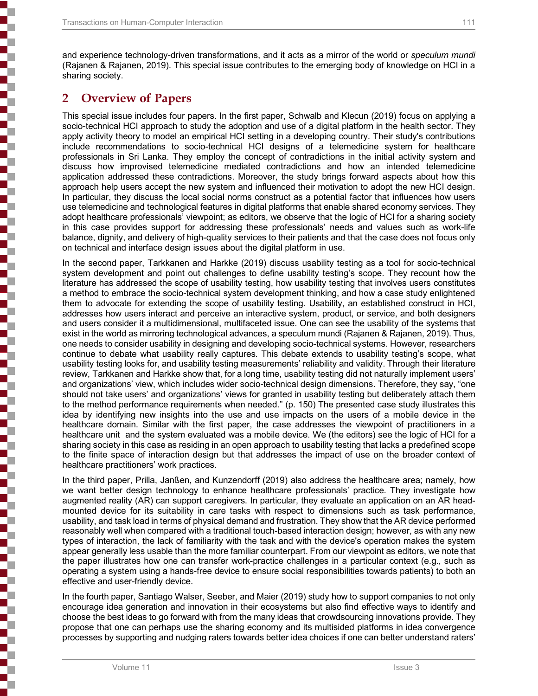and experience technology-driven transformations, and it acts as a mirror of the world or *speculum mundi* (Rajanen & Rajanen, 2019). This special issue contributes to the emerging body of knowledge on HCI in a sharing society.

## **2 Overview of Papers**

This special issue includes four papers. In the first paper, Schwalb and Klecun (2019) focus on applying a socio-technical HCI approach to study the adoption and use of a digital platform in the health sector. They apply activity theory to model an empirical HCI setting in a developing country. Their study's contributions include recommendations to socio-technical HCI designs of a telemedicine system for healthcare professionals in Sri Lanka. They employ the concept of contradictions in the initial activity system and discuss how improvised telemedicine mediated contradictions and how an intended telemedicine application addressed these contradictions. Moreover, the study brings forward aspects about how this approach help users accept the new system and influenced their motivation to adopt the new HCI design. In particular, they discuss the local social norms construct as a potential factor that influences how users use telemedicine and technological features in digital platforms that enable shared economy services. They adopt healthcare professionals' viewpoint; as editors, we observe that the logic of HCI for a sharing society in this case provides support for addressing these professionals' needs and values such as work-life balance, dignity, and delivery of high-quality services to their patients and that the case does not focus only on technical and interface design issues about the digital platform in use.

In the second paper, Tarkkanen and Harkke (2019) discuss usability testing as a tool for socio-technical system development and point out challenges to define usability testing's scope. They recount how the literature has addressed the scope of usability testing, how usability testing that involves users constitutes a method to embrace the socio-technical system development thinking, and how a case study enlightened them to advocate for extending the scope of usability testing. Usability, an established construct in HCI, addresses how users interact and perceive an interactive system, product, or service, and both designers and users consider it a multidimensional, multifaceted issue. One can see the usability of the systems that exist in the world as mirroring technological advances, a speculum mundi (Rajanen & Rajanen, 2019). Thus, one needs to consider usability in designing and developing socio-technical systems. However, researchers continue to debate what usability really captures. This debate extends to usability testing's scope, what usability testing looks for, and usability testing measurements' reliability and validity. Through their literature review, Tarkkanen and Harkke show that, for a long time, usability testing did not naturally implement users' and organizations' view, which includes wider socio-technical design dimensions. Therefore, they say, "one should not take users' and organizations' views for granted in usability testing but deliberately attach them to the method performance requirements when needed." (p. 150) The presented case study illustrates this idea by identifying new insights into the use and use impacts on the users of a mobile device in the healthcare domain. Similar with the first paper, the case addresses the viewpoint of practitioners in a healthcare unit and the system evaluated was a mobile device. We (the editors) see the logic of HCI for a sharing society in this case as residing in an open approach to usability testing that lacks a predefined scope to the finite space of interaction design but that addresses the impact of use on the broader context of healthcare practitioners' work practices.

In the third paper, Prilla, Janßen, and Kunzendorff (2019) also address the healthcare area; namely, how we want better design technology to enhance healthcare professionals' practice. They investigate how augmented reality (AR) can support caregivers. In particular, they evaluate an application on an AR headmounted device for its suitability in care tasks with respect to dimensions such as task performance, usability, and task load in terms of physical demand and frustration. They show that the AR device performed reasonably well when compared with a traditional touch-based interaction design; however, as with any new types of interaction, the lack of familiarity with the task and with the device's operation makes the system appear generally less usable than the more familiar counterpart. From our viewpoint as editors, we note that the paper illustrates how one can transfer work-practice challenges in a particular context (e.g., such as operating a system using a hands-free device to ensure social responsibilities towards patients) to both an effective and user-friendly device.

In the fourth paper, Santiago Walser, Seeber, and Maier (2019) study how to support companies to not only encourage idea generation and innovation in their ecosystems but also find effective ways to identify and choose the best ideas to go forward with from the many ideas that crowdsourcing innovations provide. They propose that one can perhaps use the sharing economy and its multisided platforms in idea convergence processes by supporting and nudging raters towards better idea choices if one can better understand raters'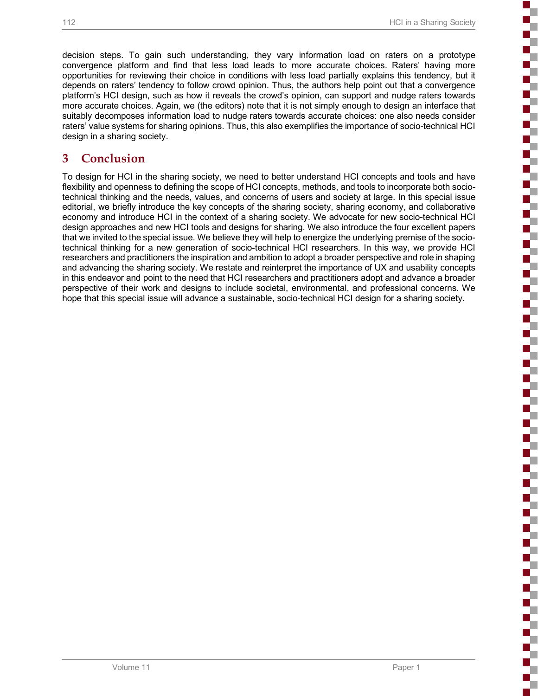**Maria** 

 $\mathbb{Z}^{\mathbb{Z}}$ 

decision steps. To gain such understanding, they vary information load on raters on a prototype convergence platform and find that less load leads to more accurate choices. Raters' having more opportunities for reviewing their choice in conditions with less load partially explains this tendency, but it depends on raters' tendency to follow crowd opinion. Thus, the authors help point out that a convergence platform's HCI design, such as how it reveals the crowd's opinion, can support and nudge raters towards more accurate choices. Again, we (the editors) note that it is not simply enough to design an interface that suitably decomposes information load to nudge raters towards accurate choices: one also needs consider raters' value systems for sharing opinions. Thus, this also exemplifies the importance of socio-technical HCI design in a sharing society.

## **3 Conclusion**

To design for HCI in the sharing society, we need to better understand HCI concepts and tools and have flexibility and openness to defining the scope of HCI concepts, methods, and tools to incorporate both sociotechnical thinking and the needs, values, and concerns of users and society at large. In this special issue editorial, we briefly introduce the key concepts of the sharing society, sharing economy, and collaborative economy and introduce HCI in the context of a sharing society. We advocate for new socio-technical HCI design approaches and new HCI tools and designs for sharing. We also introduce the four excellent papers that we invited to the special issue. We believe they will help to energize the underlying premise of the sociotechnical thinking for a new generation of socio-technical HCI researchers. In this way, we provide HCI researchers and practitioners the inspiration and ambition to adopt a broader perspective and role in shaping and advancing the sharing society. We restate and reinterpret the importance of UX and usability concepts in this endeavor and point to the need that HCI researchers and practitioners adopt and advance a broader perspective of their work and designs to include societal, environmental, and professional concerns. We hope that this special issue will advance a sustainable, socio-technical HCI design for a sharing society.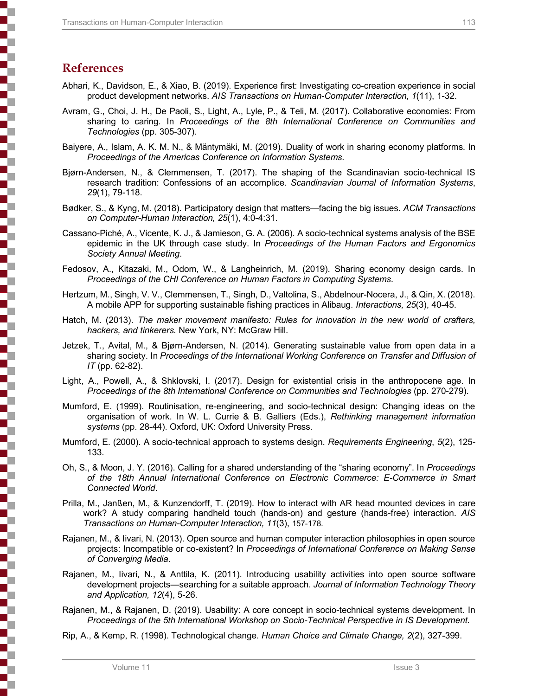### **References**

- Abhari, K., Davidson, E., & Xiao, B. (2019). Experience first: Investigating co-creation experience in social product development networks. *AIS Transactions on Human-Computer Interaction, 1*(11), 1-32.
- Avram, G., Choi, J. H., De Paoli, S., Light, A., Lyle, P., & Teli, M. (2017). Collaborative economies: From sharing to caring. In *Proceedings of the 8th International Conference on Communities and Technologies* (pp. 305-307).
- Baiyere, A., Islam, A. K. M. N., & Mäntymäki, M. (2019). Duality of work in sharing economy platforms. In *Proceedings of the Americas Conference on Information Systems.*
- Bjørn-Andersen, N., & Clemmensen, T. (2017). The shaping of the Scandinavian socio-technical IS research tradition: Confessions of an accomplice. *Scandinavian Journal of Information Systems*, *29*(1), 79-118.
- Bødker, S., & Kyng, M. (2018). Participatory design that matters—facing the big issues. *ACM Transactions on Computer-Human Interaction, 25*(1), 4:0-4:31.
- Cassano-Piché, A., Vicente, K. J., & Jamieson, G. A. (2006). A socio-technical systems analysis of the BSE epidemic in the UK through case study. In *Proceedings of the Human Factors and Ergonomics Society Annual Meeting*.
- Fedosov, A., Kitazaki, M., Odom, W., & Langheinrich, M. (2019). Sharing economy design cards. In *Proceedings of the CHI Conference on Human Factors in Computing Systems*.
- Hertzum, M., Singh, V. V., Clemmensen, T., Singh, D., Valtolina, S., Abdelnour-Nocera, J., & Qin, X. (2018). A mobile APP for supporting sustainable fishing practices in Alibaug. *Interactions, 25*(3), 40-45.
- Hatch, M. (2013). *The maker movement manifesto: Rules for innovation in the new world of crafters, hackers, and tinkerers*. New York, NY: McGraw Hill.
- Jetzek, T., Avital, M., & Bjørn-Andersen, N. (2014). Generating sustainable value from open data in a sharing society. In *Proceedings of the International Working Conference on Transfer and Diffusion of IT* (pp. 62-82).
- Light, A., Powell, A., & Shklovski, I. (2017). Design for existential crisis in the anthropocene age. In *Proceedings of the 8th International Conference on Communities and Technologies (pp. 270-279).*
- Mumford, E. (1999). Routinisation, re-engineering, and socio-technical design: Changing ideas on the organisation of work. In W. L. Currie & B. Galliers (Eds.), *Rethinking management information systems* (pp. 28-44). Oxford, UK: Oxford University Press.
- Mumford, E. (2000). A socio-technical approach to systems design. *Requirements Engineering*, *5*(2), 125- 133.
- Oh, S., & Moon, J. Y. (2016). Calling for a shared understanding of the "sharing economy". In *Proceedings of the 18th Annual International Conference on Electronic Commerce: E-Commerce in Smart Connected World*.
- Prilla, M., Janßen, M., & Kunzendorff, T. (2019). How to interact with AR head mounted devices in care work? A study comparing handheld touch (hands-on) and gesture (hands-free) interaction. *AIS Transactions on Human-Computer Interaction, 11*(3), 157-178.
- Rajanen, M., & Iivari, N. (2013). Open source and human computer interaction philosophies in open source projects: Incompatible or co-existent? In *Proceedings of International Conference on Making Sense of Converging Media*.
- Rajanen, M., Iivari, N., & Anttila, K. (2011). Introducing usability activities into open source software development projects—searching for a suitable approach. *Journal of Information Technology Theory and Application, 12*(4), 5-26.
- Rajanen, M., & Rajanen, D. (2019). Usability: A core concept in socio-technical systems development. In *Proceedings of the 5th International Workshop on Socio-Technical Perspective in IS Development.*

Rip, A., & Kemp, R. (1998). Technological change. *Human Choice and Climate Change, 2*(2), 327-399.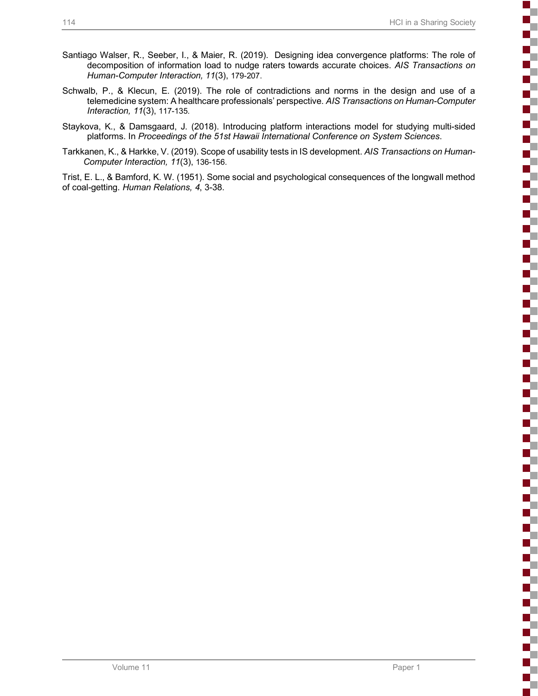$\mathbb{R}^2$ 

**The State** L

 $\mathbb{R}^2$ T.  $\mathcal{L}(\mathcal{L})$ U **Tale**  $\blacksquare$ 

 $\mathcal{L}_{\mathcal{A}}$ 

- Santiago Walser, R., Seeber, I., & Maier, R. (2019). Designing idea convergence platforms: The role of decomposition of information load to nudge raters towards accurate choices. *AIS Transactions on Human-Computer Interaction, 11*(3), 179-207.
- Schwalb, P., & Klecun, E. (2019). The role of contradictions and norms in the design and use of a telemedicine system: A healthcare professionals' perspective. *AIS Transactions on Human-Computer Interaction, 11*(3), 117-135.
- Staykova, K., & Damsgaard, J. (2018). Introducing platform interactions model for studying multi-sided platforms. In *Proceedings of the 51st Hawaii International Conference on System Sciences*.
- Tarkkanen, K., & Harkke, V. (2019). Scope of usability tests in IS development. *AIS Transactions on Human-Computer Interaction, 11*(3), 136-156.

Trist, E. L., & Bamford, K. W. (1951). Some social and psychological consequences of the longwall method of coal-getting. *Human Relations, 4*, 3-38.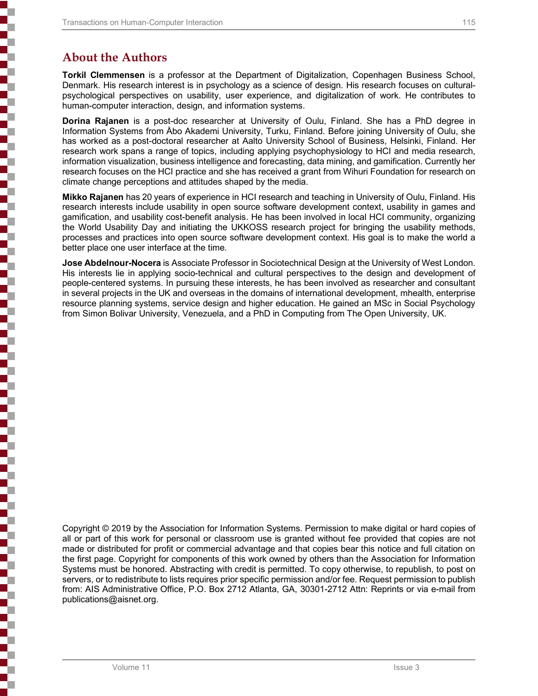# **About the Authors**

**Torkil Clemmensen** is a professor at the Department of Digitalization, Copenhagen Business School, Denmark. His research interest is in psychology as a science of design. His research focuses on culturalpsychological perspectives on usability, user experience, and digitalization of work. He contributes to human-computer interaction, design, and information systems.

**Dorina Rajanen** is a post-doc researcher at University of Oulu, Finland. She has a PhD degree in Information Systems from Åbo Akademi University, Turku, Finland. Before joining University of Oulu, she has worked as a post-doctoral researcher at Aalto University School of Business, Helsinki, Finland. Her research work spans a range of topics, including applying psychophysiology to HCI and media research, information visualization, business intelligence and forecasting, data mining, and gamification. Currently her research focuses on the HCI practice and she has received a grant from Wihuri Foundation for research on climate change perceptions and attitudes shaped by the media.

**Mikko Rajanen** has 20 years of experience in HCI research and teaching in University of Oulu, Finland. His research interests include usability in open source software development context, usability in games and gamification, and usability cost-benefit analysis. He has been involved in local HCI community, organizing the World Usability Day and initiating the UKKOSS research project for bringing the usability methods, processes and practices into open source software development context. His goal is to make the world a better place one user interface at the time.

**Jose Abdelnour-Nocera** is Associate Professor in Sociotechnical Design at the University of West London. His interests lie in applying socio-technical and cultural perspectives to the design and development of people-centered systems. In pursuing these interests, he has been involved as researcher and consultant in several projects in the UK and overseas in the domains of international development, mhealth, enterprise resource planning systems, service design and higher education. He gained an MSc in Social Psychology from Simon Bolivar University, Venezuela, and a PhD in Computing from The Open University, UK.

Copyright © 2019 by the Association for Information Systems. Permission to make digital or hard copies of all or part of this work for personal or classroom use is granted without fee provided that copies are not made or distributed for profit or commercial advantage and that copies bear this notice and full citation on the first page. Copyright for components of this work owned by others than the Association for Information Systems must be honored. Abstracting with credit is permitted. To copy otherwise, to republish, to post on servers, or to redistribute to lists requires prior specific permission and/or fee. Request permission to publish from: AIS Administrative Office, P.O. Box 2712 Atlanta, GA, 30301-2712 Attn: Reprints or via e-mail from publications@aisnet.org.